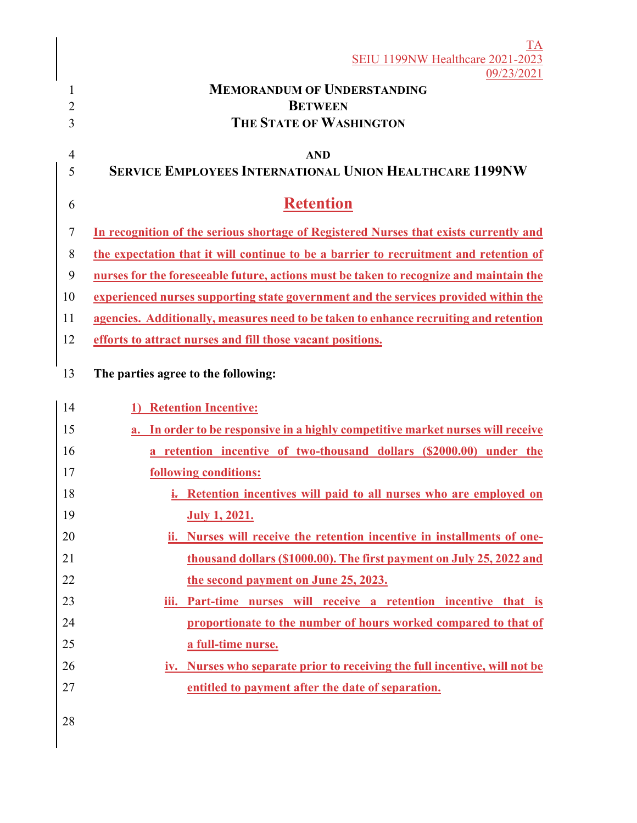|                | $\mathrm{TA}$<br><b>SEIU 1199NW Healthcare 2021-2023</b>                               |
|----------------|----------------------------------------------------------------------------------------|
|                | 09/23/2021                                                                             |
| 1              | <b>MEMORANDUM OF UNDERSTANDING</b>                                                     |
| $\overline{2}$ | <b>BETWEEN</b>                                                                         |
| 3              | <b>THE STATE OF WASHINGTON</b>                                                         |
| $\overline{4}$ | <b>AND</b>                                                                             |
| 5              | <b>SERVICE EMPLOYEES INTERNATIONAL UNION HEALTHCARE 1199NW</b>                         |
| 6              | <b>Retention</b>                                                                       |
| 7              | In recognition of the serious shortage of Registered Nurses that exists currently and  |
| 8              | the expectation that it will continue to be a barrier to recruitment and retention of  |
| 9              | nurses for the foreseeable future, actions must be taken to recognize and maintain the |
| 10             | experienced nurses supporting state government and the services provided within the    |
| 11             | agencies. Additionally, measures need to be taken to enhance recruiting and retention  |
| 12             | efforts to attract nurses and fill those vacant positions.                             |
| 13             | The parties agree to the following:                                                    |
| 14             | 1) Retention Incentive:                                                                |
| 15             | a. In order to be responsive in a highly competitive market nurses will receive        |
| 16             | a retention incentive of two-thousand dollars (\$2000.00) under the                    |
| 17             | following conditions:                                                                  |
| 18             | i. Retention incentives will paid to all nurses who are employed on                    |
| 19             | <b>July 1, 2021.</b>                                                                   |
| 20             | ii. Nurses will receive the retention incentive in installments of one-                |
| 21             | thousand dollars (\$1000.00). The first payment on July 25, 2022 and                   |
| 22             | the second payment on June 25, 2023.                                                   |
| 23             | iii. Part-time nurses will receive a retention incentive that is                       |
| 24             | proportionate to the number of hours worked compared to that of                        |
| 25             | a full-time nurse.                                                                     |
| 26             | iv. Nurses who separate prior to receiving the full incentive, will not be             |
| 27             | entitled to payment after the date of separation.                                      |
| 28             |                                                                                        |